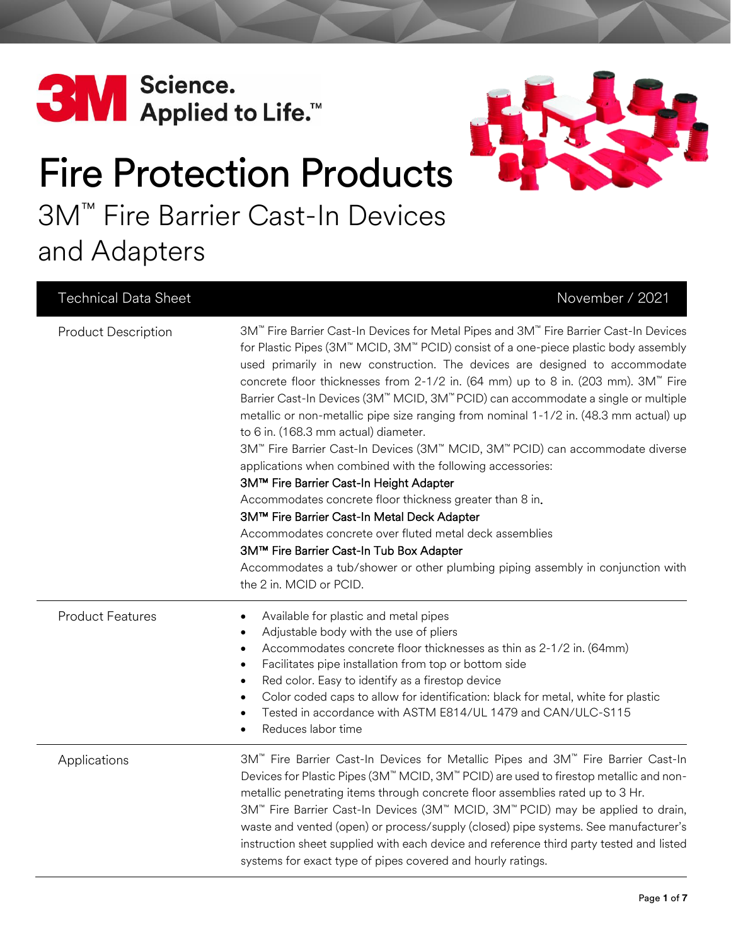



# Fire Protection Products 3M™ Fire Barrier Cast-In Devices and Adapters

#### Technical Data Sheet November / 2021

| <b>Product Description</b> | 3M <sup>™</sup> Fire Barrier Cast-In Devices for Metal Pipes and 3M™ Fire Barrier Cast-In Devices<br>for Plastic Pipes (3M™ MCID, 3M™ PCID) consist of a one-piece plastic body assembly<br>used primarily in new construction. The devices are designed to accommodate<br>concrete floor thicknesses from 2-1/2 in. (64 mm) up to 8 in. (203 mm). 3M <sup>™</sup> Fire<br>Barrier Cast-In Devices (3M™ MCID, 3M™ PCID) can accommodate a single or multiple<br>metallic or non-metallic pipe size ranging from nominal 1-1/2 in. (48.3 mm actual) up<br>to 6 in. (168.3 mm actual) diameter.<br>3M™ Fire Barrier Cast-In Devices (3M™ MCID, 3M™ PCID) can accommodate diverse<br>applications when combined with the following accessories:<br>3M™ Fire Barrier Cast-In Height Adapter<br>Accommodates concrete floor thickness greater than 8 in.<br>3M™ Fire Barrier Cast-In Metal Deck Adapter<br>Accommodates concrete over fluted metal deck assemblies<br>3M™ Fire Barrier Cast-In Tub Box Adapter<br>Accommodates a tub/shower or other plumbing piping assembly in conjunction with<br>the 2 in. MCID or PCID. |
|----------------------------|-------------------------------------------------------------------------------------------------------------------------------------------------------------------------------------------------------------------------------------------------------------------------------------------------------------------------------------------------------------------------------------------------------------------------------------------------------------------------------------------------------------------------------------------------------------------------------------------------------------------------------------------------------------------------------------------------------------------------------------------------------------------------------------------------------------------------------------------------------------------------------------------------------------------------------------------------------------------------------------------------------------------------------------------------------------------------------------------------------------------------|
| <b>Product Features</b>    | Available for plastic and metal pipes<br>$\bullet$<br>Adjustable body with the use of pliers<br>$\bullet$<br>Accommodates concrete floor thicknesses as thin as 2-1/2 in. (64mm)<br>$\bullet$<br>Facilitates pipe installation from top or bottom side<br>$\bullet$<br>Red color. Easy to identify as a firestop device<br>$\bullet$<br>Color coded caps to allow for identification: black for metal, white for plastic<br>$\bullet$<br>Tested in accordance with ASTM E814/UL 1479 and CAN/ULC-S115<br>$\bullet$<br>Reduces labor time<br>$\bullet$                                                                                                                                                                                                                                                                                                                                                                                                                                                                                                                                                                   |
| Applications               | 3M <sup>™</sup> Fire Barrier Cast-In Devices for Metallic Pipes and 3M™ Fire Barrier Cast-In<br>Devices for Plastic Pipes (3M <sup>™</sup> MCID, 3M <sup>™</sup> PCID) are used to firestop metallic and non-<br>metallic penetrating items through concrete floor assemblies rated up to 3 Hr.<br>3M <sup>™</sup> Fire Barrier Cast-In Devices (3M <sup>™</sup> MCID, 3M <sup>™</sup> PCID) may be applied to drain,<br>waste and vented (open) or process/supply (closed) pipe systems. See manufacturer's<br>instruction sheet supplied with each device and reference third party tested and listed<br>systems for exact type of pipes covered and hourly ratings.                                                                                                                                                                                                                                                                                                                                                                                                                                                  |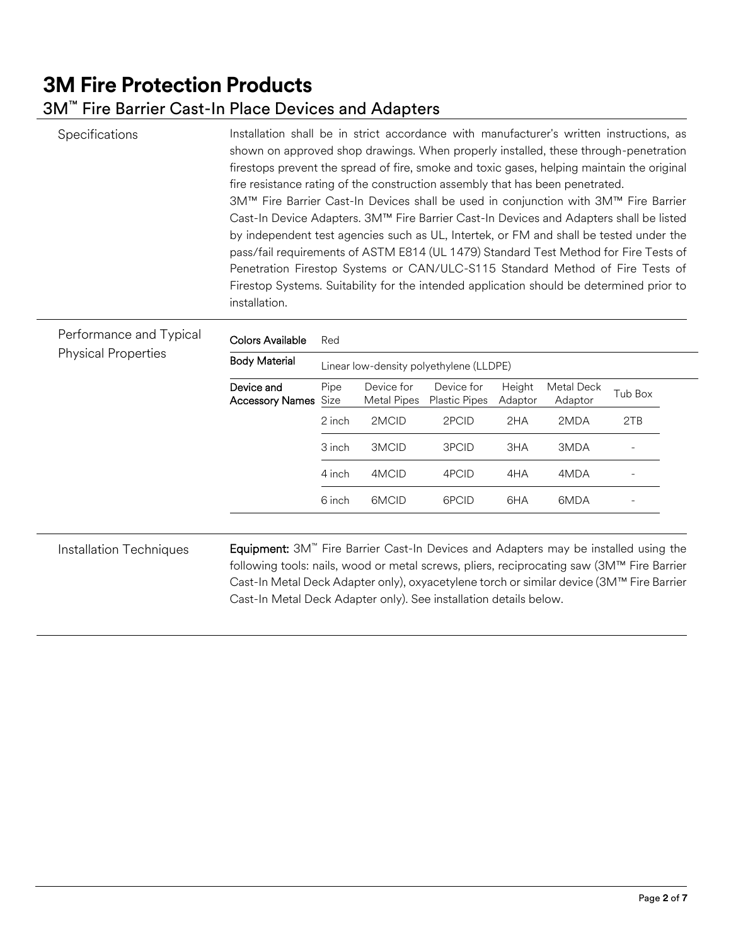# **3M Fire Protection Products**

#### 3M™ Fire Barrier Cast-In Place Devices and Adapters

Specifications **Installation shall be in strict accordance with manufacturer's written instructions, as** shown on approved shop drawings. When properly installed, these through-penetration firestops prevent the spread of fire, smoke and toxic gases, helping maintain the original fire resistance rating of the construction assembly that has been penetrated. 3M™ Fire Barrier Cast-In Devices shall be used in conjunction with 3M™ Fire Barrier Cast-In Device Adapters. 3M™ Fire Barrier Cast-In Devices and Adapters shall be listed by independent test agencies such as UL, Intertek, or FM and shall be tested under the pass/fail requirements of ASTM E814 (UL 1479) Standard Test Method for Fire Tests of Penetration Firestop Systems or CAN/ULC-S115 Standard Method of Fire Tests of Firestop Systems. Suitability for the intended application should be determined prior to installation.

| Performance and Typical<br><b>Physical Properties</b> | Colors Available                     | Red                                     |                           |                                    |                   |                       |         |
|-------------------------------------------------------|--------------------------------------|-----------------------------------------|---------------------------|------------------------------------|-------------------|-----------------------|---------|
|                                                       | <b>Body Material</b>                 | Linear low-density polyethylene (LLDPE) |                           |                                    |                   |                       |         |
|                                                       | Device and<br><b>Accessory Names</b> | Pipe<br>Size                            | Device for<br>Metal Pipes | Device for<br><b>Plastic Pipes</b> | Height<br>Adaptor | Metal Deck<br>Adaptor | Tub Box |
|                                                       |                                      | 2 inch                                  | 2MCID                     | 2PCID                              | 2HA               | 2MDA                  | 2TB     |
|                                                       |                                      | 3 inch                                  | 3MCID                     | 3PCID                              | 3HA               | 3MDA                  |         |
|                                                       |                                      | 4 inch                                  | 4MCID                     | 4PCID                              | 4HA               | 4MDA                  |         |
|                                                       |                                      | 6 inch                                  | 6MCID                     | 6PCID                              | 6HA               | 6MDA                  |         |

following tools: nails, wood or metal screws, pliers, reciprocating saw (3M™ Fire Barrier Cast-In Metal Deck Adapter only), oxyacetylene torch or similar device (3M™ Fire Barrier Cast-In Metal Deck Adapter only). See installation details below.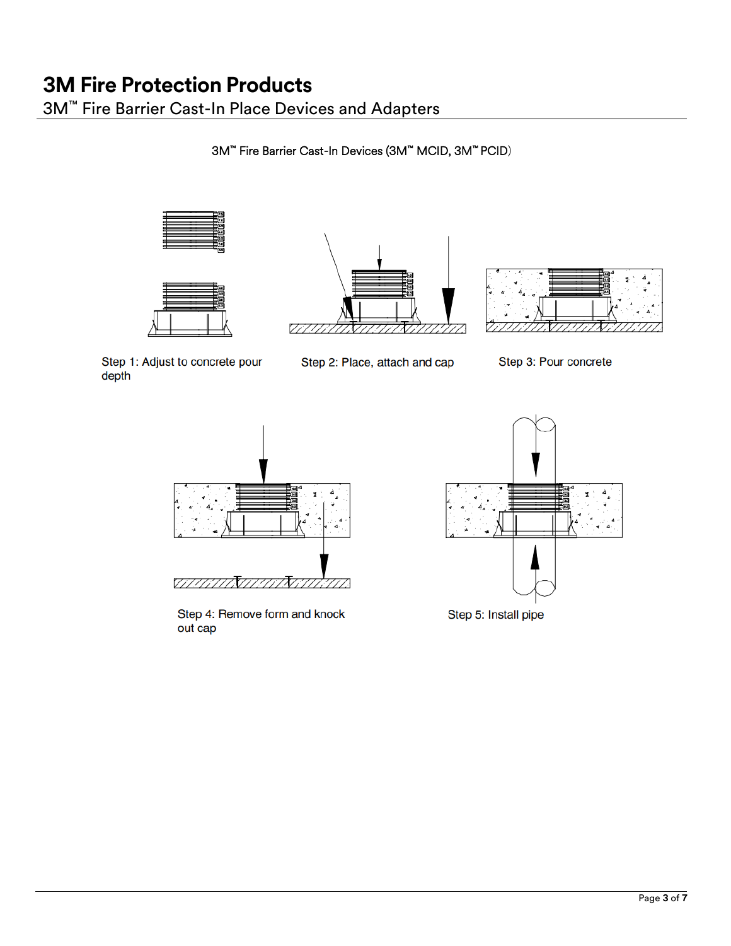3M™ Fire Barrier Cast-In Place Devices and Adapters

3M™ Fire Barrier Cast-In Devices (3M™ MCID, 3M™ PCID)









Step 1: Adjust to concrete pour depth

Step 2: Place, attach and cap

Step 3: Pour concrete



Step 4: Remove form and knock out cap

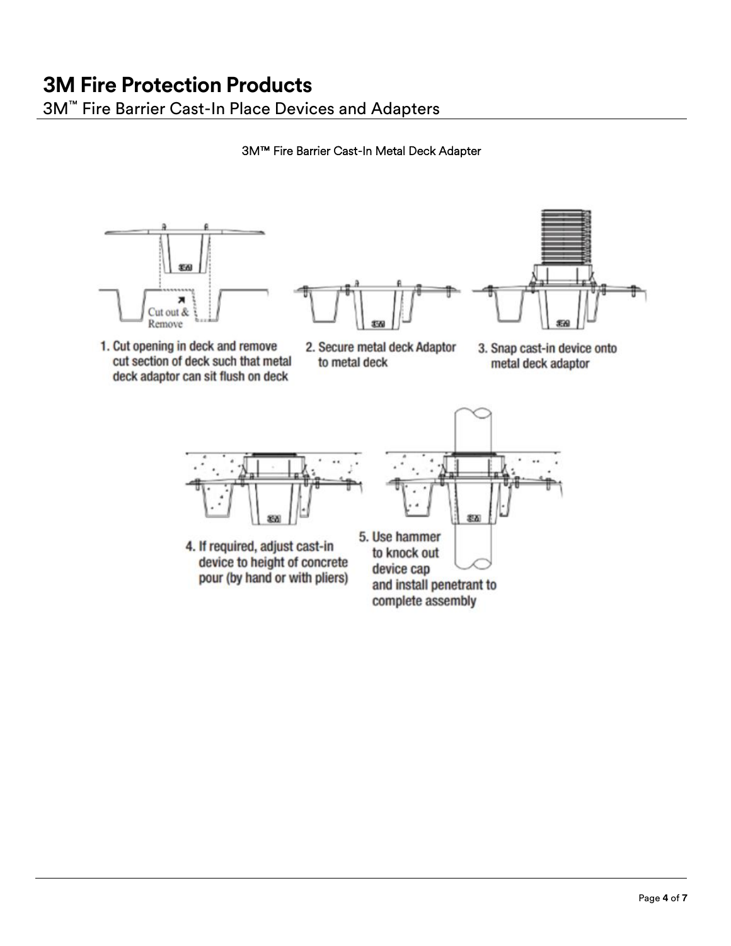## **3M Fire Protection Products** 3M™ Fire Barrier Cast-In Place Devices and Adapters

3M™ Fire Barrier Cast-In Metal Deck Adapter



1. Cut opening in deck and remove cut section of deck such that metal deck adaptor can sit flush on deck





3. Snap cast-in device onto metal deck adaptor



4. If required, adjust cast-in device to height of concrete pour (by hand or with pliers)



device cap and install penetrant to complete assembly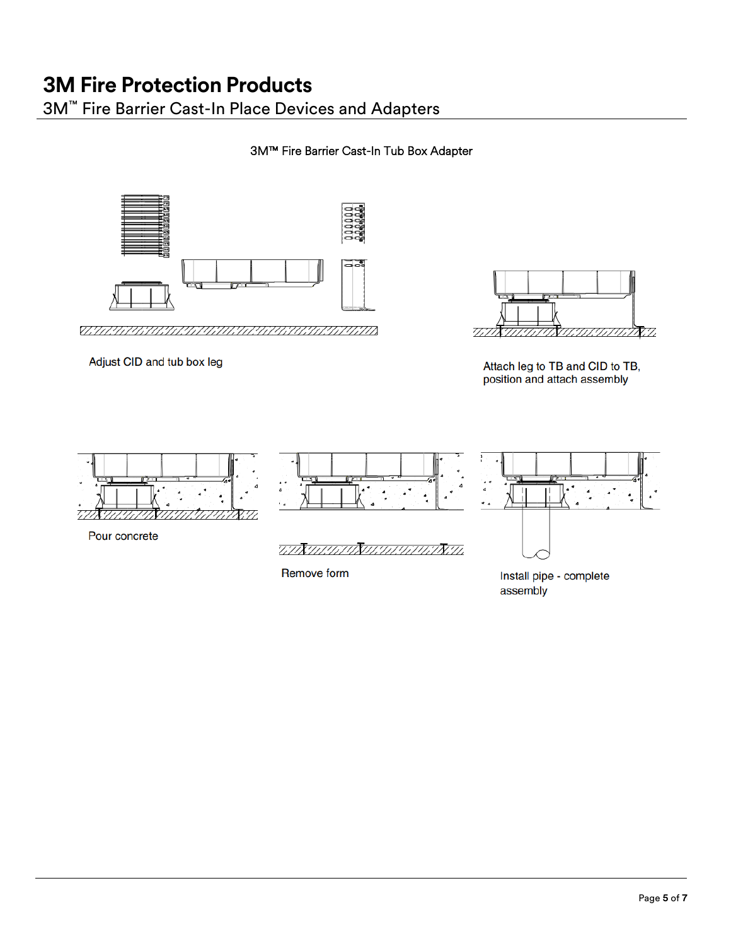## **3M Fire Protection Products** 3M™ Fire Barrier Cast-In Place Devices and Adapters

#### 3M™ Fire Barrier Cast-In Tub Box Adapter



<u>VAN ANTALIA ANTILIA ANTILIA ANTILIA ILI</u>

Adjust CID and tub box leg



Attach leg to TB and CID to TB, position and attach assembly



Remove form

Install pipe - complete assembly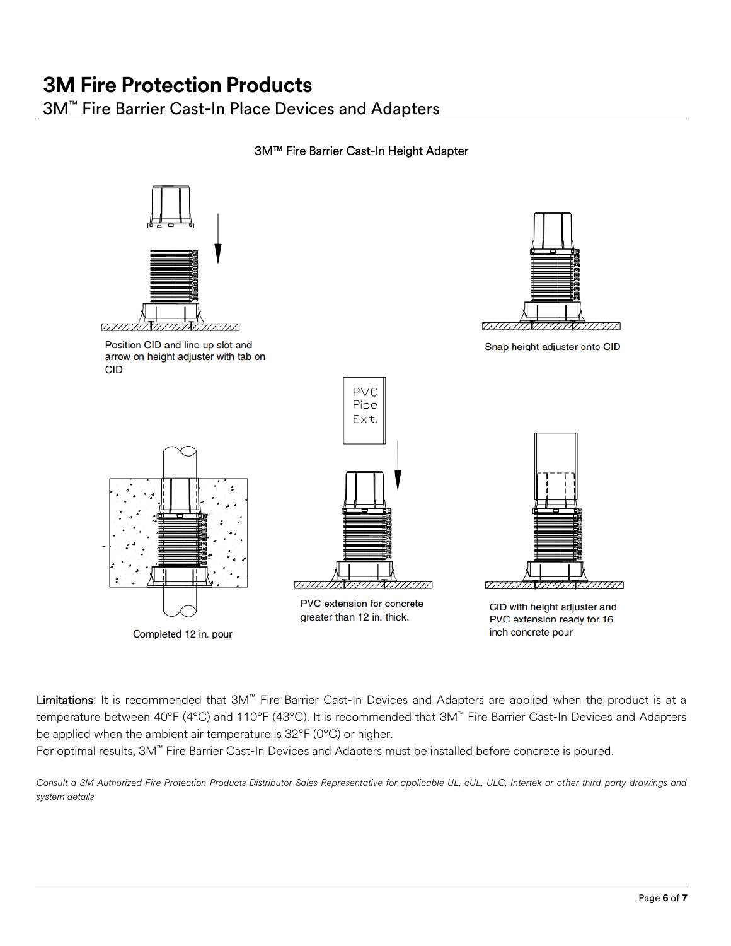# **3M Fire Protection Products**

3M™ Fire Barrier Cast-In Place Devices and Adapters

#### 3M™ Fire Barrier Cast-In Height Adapter



Limitations: It is recommended that 3M<sup>™</sup> Fire Barrier Cast-In Devices and Adapters are applied when the product is at a temperature between 40°F (4°C) and 110°F (43°C). It is recommended that 3M™ Fire Barrier Cast-In Devices and Adapters be applied when the ambient air temperature is 32°F (0°C) or higher.

For optimal results, 3M™ Fire Barrier Cast-In Devices and Adapters must be installed before concrete is poured.

*Consult a 3M Authorized Fire Protection Products Distributor Sales Representative for applicable UL, cUL, ULC, Intertek or other third-party drawings and system details*